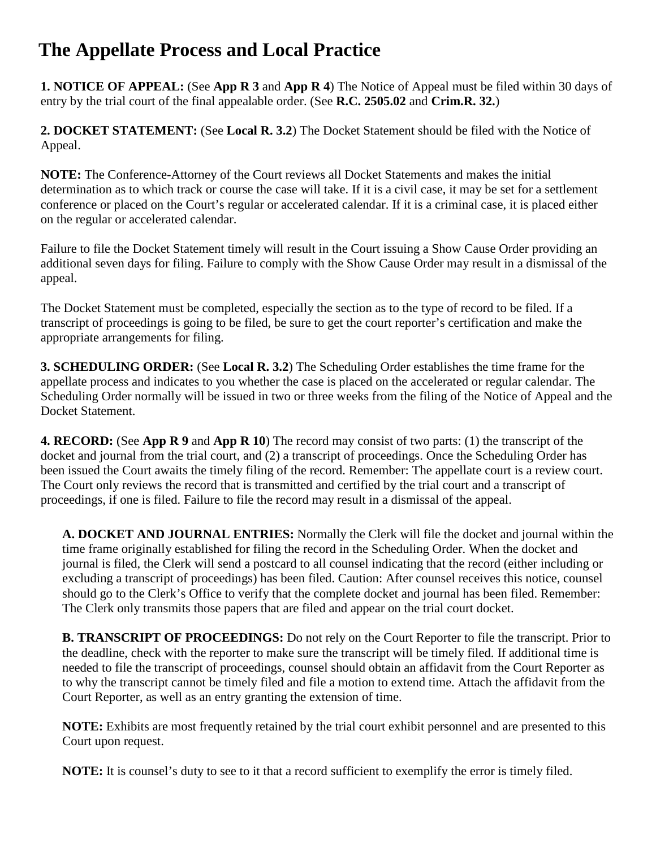## **The Appellate Process and Local Practice**

**1. NOTICE OF APPEAL:** (See **App R 3** and **App R 4**) The Notice of Appeal must be filed within 30 days of entry by the trial court of the final appealable order. (See **R.C. 2505.02** and **Crim.R. 32.**)

**2. DOCKET STATEMENT:** (See **Local R. 3.2**) The Docket Statement should be filed with the Notice of Appeal.

**NOTE:** The Conference-Attorney of the Court reviews all Docket Statements and makes the initial determination as to which track or course the case will take. If it is a civil case, it may be set for a settlement conference or placed on the Court's regular or accelerated calendar. If it is a criminal case, it is placed either on the regular or accelerated calendar.

Failure to file the Docket Statement timely will result in the Court issuing a Show Cause Order providing an additional seven days for filing. Failure to comply with the Show Cause Order may result in a dismissal of the appeal.

The Docket Statement must be completed, especially the section as to the type of record to be filed. If a transcript of proceedings is going to be filed, be sure to get the court reporter's certification and make the appropriate arrangements for filing.

**3. SCHEDULING ORDER:** (See **Local R. 3.2**) The Scheduling Order establishes the time frame for the appellate process and indicates to you whether the case is placed on the accelerated or regular calendar. The Scheduling Order normally will be issued in two or three weeks from the filing of the Notice of Appeal and the Docket Statement.

**4. RECORD:** (See **App R 9** and **App R 10**) The record may consist of two parts: (1) the transcript of the docket and journal from the trial court, and (2) a transcript of proceedings. Once the Scheduling Order has been issued the Court awaits the timely filing of the record. Remember: The appellate court is a review court. The Court only reviews the record that is transmitted and certified by the trial court and a transcript of proceedings, if one is filed. Failure to file the record may result in a dismissal of the appeal.

**A. DOCKET AND JOURNAL ENTRIES:** Normally the Clerk will file the docket and journal within the time frame originally established for filing the record in the Scheduling Order. When the docket and journal is filed, the Clerk will send a postcard to all counsel indicating that the record (either including or excluding a transcript of proceedings) has been filed. Caution: After counsel receives this notice, counsel should go to the Clerk's Office to verify that the complete docket and journal has been filed. Remember: The Clerk only transmits those papers that are filed and appear on the trial court docket.

**B. TRANSCRIPT OF PROCEEDINGS:** Do not rely on the Court Reporter to file the transcript. Prior to the deadline, check with the reporter to make sure the transcript will be timely filed. If additional time is needed to file the transcript of proceedings, counsel should obtain an affidavit from the Court Reporter as to why the transcript cannot be timely filed and file a motion to extend time. Attach the affidavit from the Court Reporter, as well as an entry granting the extension of time.

**NOTE:** Exhibits are most frequently retained by the trial court exhibit personnel and are presented to this Court upon request.

**NOTE:** It is counsel's duty to see to it that a record sufficient to exemplify the error is timely filed.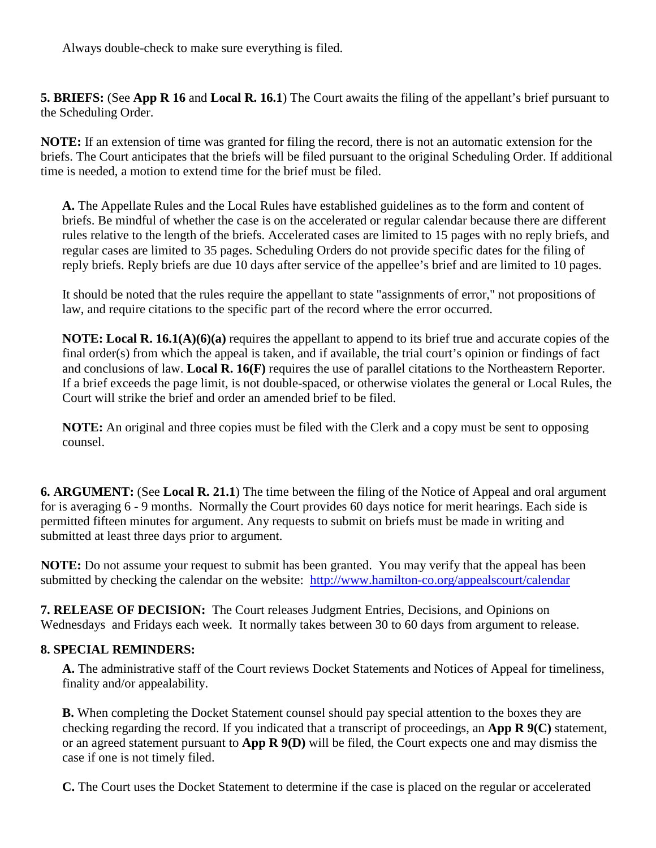Always double-check to make sure everything is filed.

**5. BRIEFS:** (See **App R 16** and **Local R. 16.1**) The Court awaits the filing of the appellant's brief pursuant to the Scheduling Order.

**NOTE:** If an extension of time was granted for filing the record, there is not an automatic extension for the briefs. The Court anticipates that the briefs will be filed pursuant to the original Scheduling Order. If additional time is needed, a motion to extend time for the brief must be filed.

**A.** The Appellate Rules and the Local Rules have established guidelines as to the form and content of briefs. Be mindful of whether the case is on the accelerated or regular calendar because there are different rules relative to the length of the briefs. Accelerated cases are limited to 15 pages with no reply briefs, and regular cases are limited to 35 pages. Scheduling Orders do not provide specific dates for the filing of reply briefs. Reply briefs are due 10 days after service of the appellee's brief and are limited to 10 pages.

It should be noted that the rules require the appellant to state "assignments of error," not propositions of law, and require citations to the specific part of the record where the error occurred.

**NOTE: Local R. 16.1(A)(6)(a)** requires the appellant to append to its brief true and accurate copies of the final order(s) from which the appeal is taken, and if available, the trial court's opinion or findings of fact and conclusions of law. **Local R. 16(F)** requires the use of parallel citations to the Northeastern Reporter. If a brief exceeds the page limit, is not double-spaced, or otherwise violates the general or Local Rules, the Court will strike the brief and order an amended brief to be filed.

**NOTE:** An original and three copies must be filed with the Clerk and a copy must be sent to opposing counsel.

**6. ARGUMENT:** (See **Local R. 21.1**) The time between the filing of the Notice of Appeal and oral argument for is averaging 6 - 9 months. Normally the Court provides 60 days notice for merit hearings. Each side is permitted fifteen minutes for argument. Any requests to submit on briefs must be made in writing and submitted at least three days prior to argument.

**NOTE:** Do not assume your request to submit has been granted. You may verify that the appeal has been submitted by checking the calendar on the website: <http://www.hamilton-co.org/appealscourt/calendar>

**7. RELEASE OF DECISION:** The Court releases Judgment Entries, Decisions, and Opinions on Wednesdays and Fridays each week. It normally takes between 30 to 60 days from argument to release.

## **8. SPECIAL REMINDERS:**

**A.** The administrative staff of the Court reviews Docket Statements and Notices of Appeal for timeliness, finality and/or appealability.

**B.** When completing the Docket Statement counsel should pay special attention to the boxes they are checking regarding the record. If you indicated that a transcript of proceedings, an **App R 9(C)** statement, or an agreed statement pursuant to **App R 9(D)** will be filed, the Court expects one and may dismiss the case if one is not timely filed.

**C.** The Court uses the Docket Statement to determine if the case is placed on the regular or accelerated